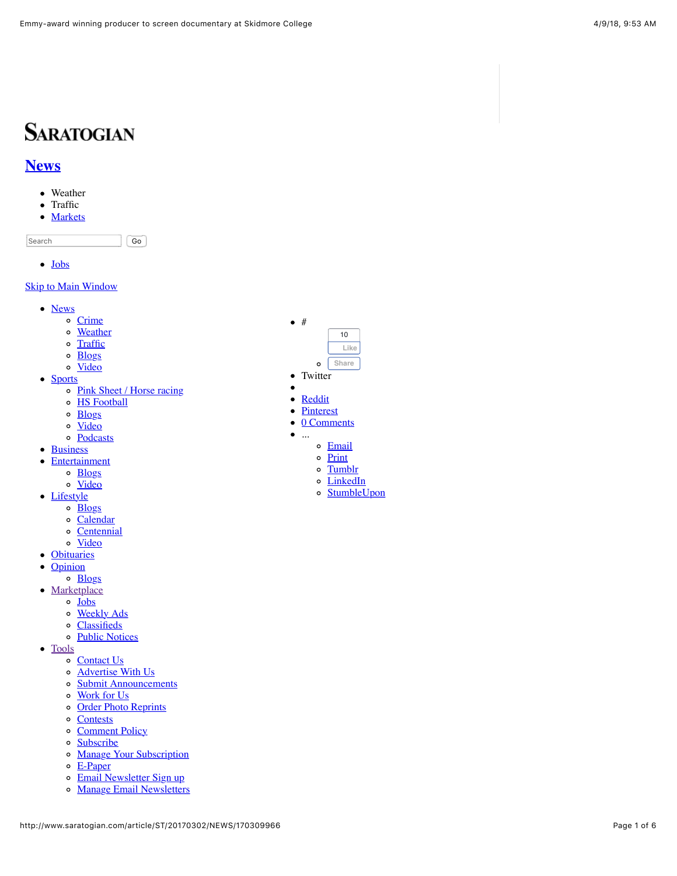# **SARATOGIAN**

### **[News](http://www.saratogian.com/news)**

- Weather
- Traffic  $\bullet$
- [Markets](http://www.saratogian.com/business)  $\bullet$

Search Go

• [Jobs](http://www.saratogian.com/jobs)

#### **[Skip to Main Window](http://www.saratogian.com/article/ST/20170302/NEWS/170309966#main-content)**

- [News](http://www.saratogian.com/news)
	- o [Crime](http://www.saratogian.com/crime)
	- o [Weather](http://www.saratogian.com/weather)
	- $\circ$ **[Traffic](http://www.saratogian.com/traffic)**
	- o [Blogs](http://www.saratogian.com/news-blogs)
	- o [Video](http://www.saratogian.com/news-video)
- [Sports](http://www.saratogian.com/sports)
	- o [Pink Sheet / Horse racing](http://www.saratogian.com/pinksheet)
		- o [HS Football](http://www.saratogian.com/hs-football)
		- o **[Blogs](http://www.saratogian.com/sports-blogs)**
		- o [Video](http://www.saratogian.com/sports-video)
	- [Podcasts](http://www.saratogian.com/podcasts)
- [Business](http://www.saratogian.com/business)
- **[Entertainment](http://www.saratogian.com/entertainment)**  $\bullet$ 
	- o **[Blogs](http://www.saratogian.com/entertainment-blogs)**
	- o [Video](http://www.saratogian.com/entertainment-video)
- [Lifestyle](http://www.saratogian.com/lifestyle)
	- $\circ$   $\frac{\text{Blogs}}{\text{Blogs}}$  $\frac{\text{Blogs}}{\text{Blogs}}$  $\frac{\text{Blogs}}{\text{Blogs}}$
	- [Calendar](http://www.saratogian.com/calendar)
	- [Centennial](http://www.saratogian.com/centennial)
	- o [Video](http://www.saratogian.com/lifestyle-video)
- [Obituaries](http://www.saratogian.com/obituaries)
- $\bullet$ **[Opinion](http://www.saratogian.com/opinion)**
- o [Blogs](http://www.saratogian.com/opinion-blogs)
- [Marketplace](http://www.saratogian.com/article/ST/20170302/NEWS/170309966)
	- $\circ$  [Jobs](http://www.saratogian.com/jobs)
	- o [Weekly Ads](http://www.saratogian.com/weekly-ads)
	- [Classifieds](http://www.saratogian.com/classifieds)
	- o [Public Notices](http://www.saratogian.com/public-notices)
- [Tools](http://www.saratogian.com/article/ST/20170302/NEWS/170309966)
	- o [Contact Us](http://www.saratogian.com/contact)
	- o **[Advertise With Us](http://www.saratogian.com/advertise)**
	- o [Submit Announcements](http://www.saratogian.com/submit)
	- [Work for Us](http://www.saratogian.com/careers)
	- o [Order Photo Reprints](http://www.saratogian.com/photo-reprints)
	- o [Contests](http://www.saratogian.com/contest)
	- o [Comment Policy](http://www.saratogian.com/commentpolicy)
	- $\circ$  [Subscribe](http://www.saratogian.com/subscribe)
	- o [Manage Your Subscription](http://www.saratogian.com/manage-subscription)
	- $\circ$  [E-Paper](http://www.saratogian.com/epaper)
	- o [Email Newsletter Sign up](http://www.saratogian.com/email_signup)
	- o [Manage Email Newsletters](http://www.saratogian.com/email_preferences)



- Twitter  $\bullet$
- 

...

- [Reddit](javascript:void(open()
- **[Pinterest](javascript:javascript:void((function()%7Bvar%20e=document.createElement()**
- 0 Comments  $\bullet$ 
	-
	- o [Email](http://www.addthis.com/bookmark.php)
	- o [Print](http://www.saratogian.com/article/ST/20170302/NEWS/170309966&template=printart)
	- o [Tumblr](javascript:void(open()
	- [LinkedIn](javascript:void(open()
	- o [StumbleUpon](javascript:void(open()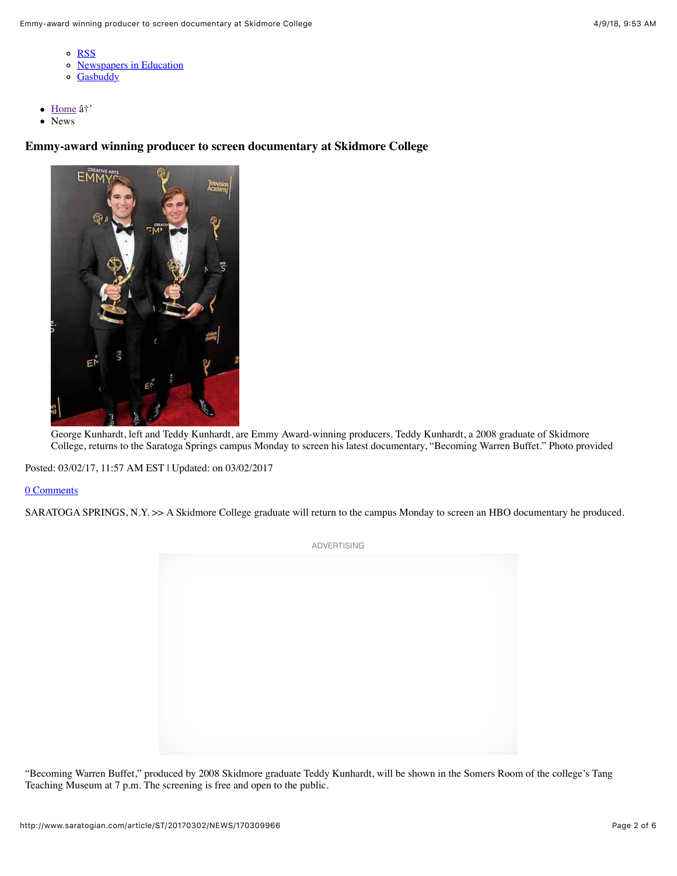- o [RSS](http://www.saratogian.com/rss)
- o [Newspapers in Education](http://www.saratogian.com/nie)
- o [Gasbuddy](http://www.saratogian.com/gasbuddy)
- [Home](http://www.saratogian.com/)  $\hat{a}^+$  $\bullet$
- News Ā

**Emmy-award winning producer to screen documentary at Skidmore College**



George Kunhardt, left and Teddy Kunhardt, are Emmy Award-winning producers. Teddy Kunhardt, a 2008 graduate of Skidmore College, returns to the Saratoga Springs campus Monday to screen his latest documentary, "Becoming Warren Buffet." Photo provided

Posted: 03/02/17, 11:57 AM EST | Updated: on 03/02/2017

#### 0 Comments

SARATOGA SPRINGS, N.Y. >> A Skidmore College graduate will return to the campus Monday to screen an HBO documentary he produced.

ADVERTISING

"Becoming Warren Buffet," produced by 2008 Skidmore graduate Teddy Kunhardt, will be shown in the Somers Room of the college's Tang Teaching Museum at 7 p.m. The screening is free and open to the public.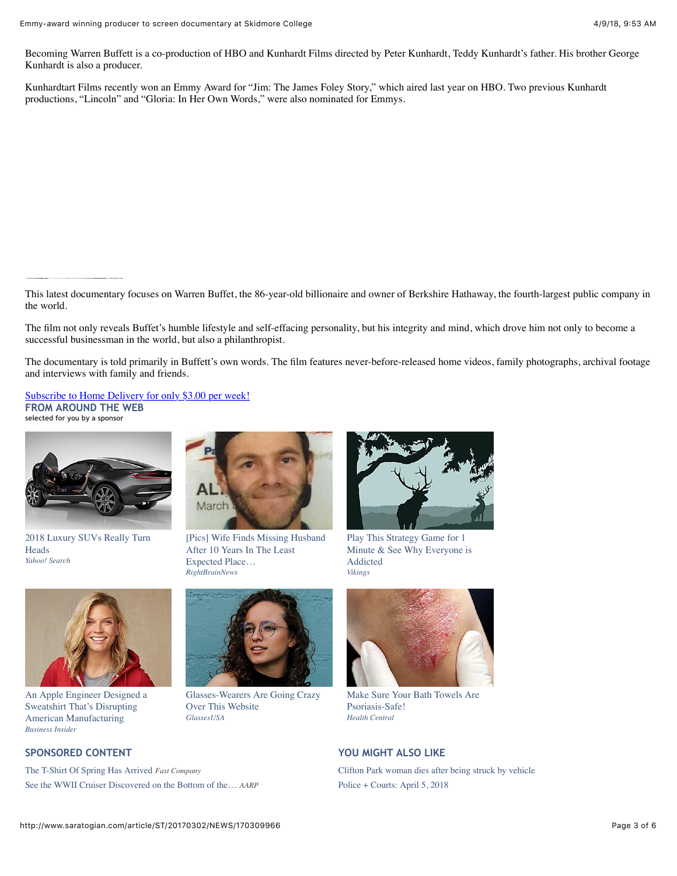Becoming Warren Buffett is a co-production of HBO and Kunhardt Films directed by Peter Kunhardt, Teddy Kunhardt's father. His brother George Kunhardt is also a producer.

Kunhardtart Films recently won an Emmy Award for "Jim: The James Foley Story," which aired last year on HBO. Two previous Kunhardt productions, "Lincoln" and "Gloria: In Her Own Words," were also nominated for Emmys.

This latest documentary focuses on Warren Buffet, the 86-year-old billionaire and owner of Berkshire Hathaway, the fourth-largest public company in the world.

The film not only reveals Buffet's humble lifestyle and self-effacing personality, but his integrity and mind, which drove him not only to become a successful businessman in the world, but also a philanthropist.

The documentary is told primarily in Buffett's own words. The film features never-before-released home videos, family photographs, archival footage and interviews with family and friends.

[Subscribe to Home Delivery for only \\$3.00 per week!](http://www.saratogian.com/allaccess) **FROM AROUND THE WEB selected for you by a sponsor**



[2018 Luxury SUVs Really Turn](http://tinytrk.com/index.php?rgid=20308&sub=$section_name$&red=vdo&obOrigUrl=true) **Heads** *Yahoo! Search*



[\[Pics\] Wife Finds Missing Husband](http://rightbrainnews.com/man-disappeared-decade-ago-wife-recognized-face-1000-miles-home/?utm_source=outbrain/&utm_campaign=3320-rbn-out-d-us-man-disappeared-decade-ago-wif_2&utm_source=outbrain&utm_medium=$origsrcid$&utm_content=$section_id$&utm_term=009f032e29ac52250a4c6374a1ba6c4829&obOrigUrl=true) After 10 Years In The Least Expected Place… *RightBrainNews*



Play This Strategy Game for 1 [Minute & See Why Everyone is](https://plarium.com/landings/en/vikings/pastoral_personalization_f002_m_prelp001?plid=108526&pxl=outbrain&PublisherID=0040f0687390c7ee311ac20dfcab768377&placement=$publisher_name$_$section_id$&clickID=$ob_click_id$&obOrigUrl=true) Addicted *Vikings*



[An Apple Engineer Designed a](http://www.businessinsider.com/this-hoodie-is-so-insanely-popular-you-have-to-wait-months-to-get-it-2013-12?obOrigUrl=true) Sweatshirt That's Disrupting American Manufacturing *Business Insider*

[The T-Shirt Of Spring Has Arrived](https://www.fastcompany.com/3059792/american-giant-spent-a-year-creating-this-t-shirt?obOrigUrl=true) *Fast Company* [See the WWII Cruiser Discovered on the Bottom of the…](https://www.aarp.org/politics-society/history/info-2018/uss-juneau-wreckage-sullivan-brothers-fd.html?cmp=SL-DSO-OUTBRAIN-DESKTAB-POLITICS-POL-MIXED-CPC-BRANDSAFE_Torpedoed+WWII+Cruiser+Discovered+at+Bottom+of+South+Pacific_009632f467bbd7c6036e3fdbc4986c730b_$section_name$&obOrigUrl=true) *AARP*



[Glasses-Wearers Are Going Crazy](http://glassesusa.7eer.net/c/414881/52849/1546?u=https%3A%2F%2Fwww.glassesusa.com%2Fblog%2F7-reasons-to-buy-glasses-online%3Faffid%3Dob-lp223&p.utm_source=outbrain&p.utm_medium=synd&p.utm_content=00e7fc3853743c9345a1c57c64155b2da2&p.utm_term=$publisher_name$_$section_name$&subid1=Top7-Ron-v1-0404_$source_id$_00e7fc3853743c9345a1c57c64155b2da2&p.utm_campaign=Top7-Ron-v1-0404&subid2=$ob_click_id$&obOrigUrl=true) Over This Website *GlassesUSA*



[Make Sure Your Bath Towels Are](https://www.healthcentral.com/slideshow/bath-linen-tips-for-psoriasis?ap=825&pb=$section_id$&obOrigUrl=true) Psoriasis-Safe! *Health Central*

#### **SPONSORED CONTENT YOU MIGHT ALSO LIKE**

[Clifton Park woman dies after being struck by vehicle](http://www.saratogian.com/general-news/20180328/clifton-park-woman-dies-after-being-struck-by-vehicle?obOrigUrl=true) [Police + Courts: April 5, 2018](http://www.saratogian.com/general-news/20180405/police-courts-april-5-2018?obOrigUrl=true)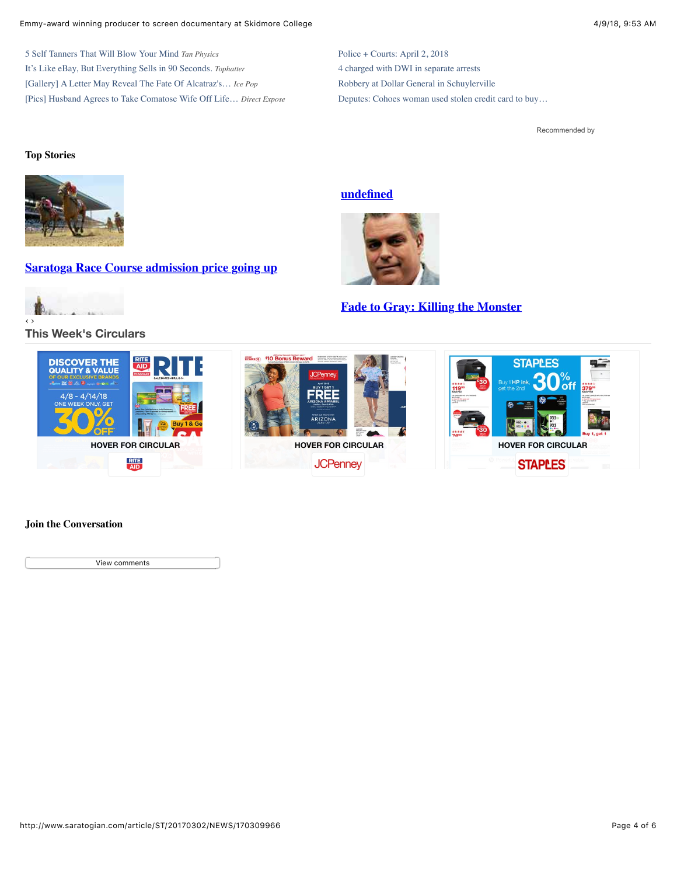#### Emmy-award winning producer to screen documentary at Skidmore College 4/9/18, 9:53 AM

[5 Self Tanners That Will Blow Your Mind](http://tanphysics.com/info/tan.php?utm_source=USA&utm_medium=OUTB&utm_campaign=GRP1-MAY18&utm_content=H248-STK020&utm_term=1141746&keyword=OUTB-MAY18-GRP1-H248-STK020&obOrigUrl=true) *Tan Physics* [It's Like eBay, But Everything Sells in 90 Seconds.](https://tophatter.com/?categories=electronics&ad_id2=4eac37&ad_creative_id=adr0008&ad_image=square4.jpg&ad_title=$TITLE$&source=outbrain&campaign=outbrain&ad_group=Desktop_Electronics_Category&ad_content=00eabd9f8f95abf102727598e4c60bfae5&ad_widget=$section_name$&obOrigUrl=true) *Tophatter* [\[Gallery\] A Letter May Reveal The Fate Of Alcatraz's…](http://www.icepop.com/escape-from-alcatraz/?utm_source=ouins&utm_campaign=00bddd06d1379562e39ffd7fbf347e394a&utm_term=$publisher_name$_$section_name$_$section_id$&utm_request=$req_id$&utm_content=newnext&utm_medium=Le_OS_IP_US_D_Alcatraz_v1_0804&obOrigUrl=true) *Ice Pop* [\[Pics\] Husband Agrees to Take Comatose Wife Off Life…](http://www.directexpose.com/comatose-wife-taken-off-life-support/?utm_source=ouins&utm_campaign=008dbd2dade4dcdc9af5b5e9676064c0a1&utm_term=$publisher_name$_$section_name$_$section_id$&utm_request=$req_id$&utm_content=newnext&utm_medium=K_OS_DE_US_D_ComatoseWife_v2_0204&obOrigUrl=true) *Direct Expose*

[Police + Courts: April 2, 2018](http://www.saratogian.com/article/ST/20180402/NEWS/180409951?obOrigUrl=true) [4 charged with DWI in separate arrests](http://www.saratogian.com/general-news/20180403/4-charged-with-dwi-in-separate-arrests?obOrigUrl=true) [Robbery at Dollar General in Schuylerville](http://www.saratogian.com/general-news/20180407/robbery-at-dollar-general-in-schuylerville?obOrigUrl=true) [Deputes: Cohoes woman used stolen credit card to buy…](http://www.saratogian.com/general-news/20180404/deputes-cohoes-woman-used-stolen-credit-card-to-buy-gas-cigarettes?obOrigUrl=true)

[Recommended by](http://www.outbrain.com/what-is/default/en)

#### **Top Stories**



**[Saratoga Race Course admission price going up](http://www.saratogian.com/general-news/20180406/saratoga-race-course-admission-price-going-up?source=topstoriesrot)**



#### **[This Week's Circulars](http://circulars.saratogian.com/?p=saratogian&chrome=nohead&postal_code=12866&locale=en&utm_source=fm&utm_medium=fm_5350&utm_term=title&utm_campaign=wishabi_1_0)**

#### **[undefined](http://www.saratogian.com/article/ST/20170302/NEWS/function%20link()%20%7B%20%20%20%20%5Bnative%20code%5D%7D?source=topstoriesrot)**



#### **[Fade to Gray: Killing the Monster](http://www.saratogian.com/opinion/20180404/fade-to-gray-killing-the-monster?source=topstoriesrot)**



#### **Join the Conversation**

View comments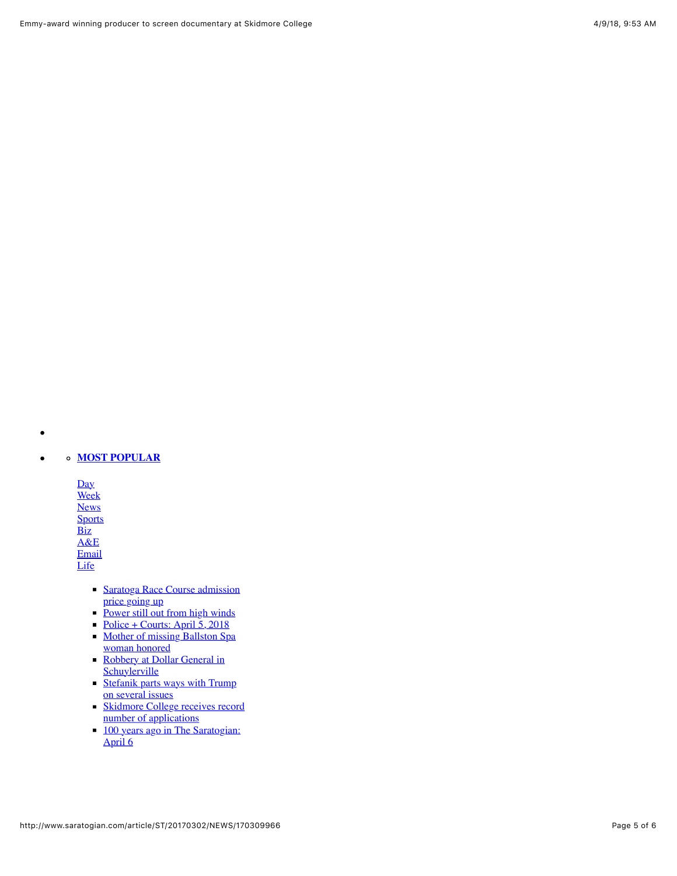#### **[MOST POPULAR](http://www.saratogian.com/popular)**  $\bullet$

 $\bullet$ 

[Day](javascript:return:false). [Week](javascript:return:false) **[News](javascript:return:false) [Sports](javascript:return:false) [Biz](javascript:return:false)** [A&E](javascript:return:false) **[Email](javascript:return:false)** 

**[Life](javascript:return:false)** 

- **[Saratoga Race Course admission](http://www.saratogian.com/general-news/20180406/saratoga-race-course-admission-price-going-up?source=most_viewed)** <u>price going up</u>
- [Power still out from high winds](http://www.saratogian.com/general-news/20180406/power-still-out-from-high-winds?source=most_viewed)
- [Police + Courts: April 5, 2018](http://www.saratogian.com/general-news/20180405/police-courts-april-5-2018?source=most_viewed)
- **[Mother of missing Ballston Spa](http://www.saratogian.com/general-news/20180407/mother-of-missing-ballston-spa-woman-honored?source=most_viewed)** woman honored
- [Robbery at Dollar General in](http://www.saratogian.com/general-news/20180407/robbery-at-dollar-general-in-schuylerville?source=most_viewed) **Schuylerville**
- **[Stefanik parts ways with Trump](http://www.saratogian.com/general-news/20180405/stefanik-parts-ways-with-trump-on-several-issues?source=most_viewed)** on several issues
- [Skidmore College receives record](http://www.saratogian.com/general-news/20180406/skidmore-college-receives-record-number-of-applications?source=most_viewed) number of applications
- [100 years ago in The Saratogian:](http://www.saratogian.com/lifestyle/20180406/100-years-ago-in-the-saratogian-april-6?source=most_viewed) April 6